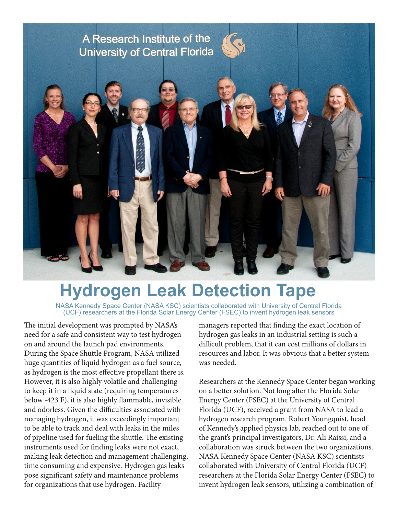

## **Hydrogen Leak Detection Tape**

NASA Kennedy Space Center (NASA KSC) scientists collaborated with University of Central Florida (UCF) researchers at the Florida Solar Energy Center (FSEC) to invent hydrogen leak sensors

The initial development was prompted by NASA's need for a safe and consistent way to test hydrogen on and around the launch pad environments. During the Space Shuttle Program, NASA utilized huge quantities of liquid hydrogen as a fuel source, as hydrogen is the most effective propellant there is. However, it is also highly volatile and challenging to keep it in a liquid state (requiring temperatures below -423 F), it is also highly flammable, invisible and odorless. Given the difficulties associated with managing hydrogen, it was exceedingly important to be able to track and deal with leaks in the miles of pipeline used for fueling the shuttle. The existing instruments used for finding leaks were not exact, making leak detection and management challenging, time consuming and expensive. Hydrogen gas leaks pose significant safety and maintenance problems for organizations that use hydrogen. Facility

managers reported that finding the exact location of hydrogen gas leaks in an industrial setting is such a difficult problem, that it can cost millions of dollars in resources and labor. It was obvious that a better system was needed.

Researchers at the Kennedy Space Center began working on a better solution. Not long after the Florida Solar Energy Center (FSEC) at the University of Central Florida (UCF), received a grant from NASA to lead a hydrogen research program. Robert Youngquist, head of Kennedy's applied physics lab, reached out to one of the grant's principal investigators, Dr. Ali Raissi, and a collaboration was struck between the two organizations. NASA Kennedy Space Center (NASA KSC) scientists collaborated with University of Central Florida (UCF) researchers at the Florida Solar Energy Center (FSEC) to invent hydrogen leak sensors, utilizing a combination of